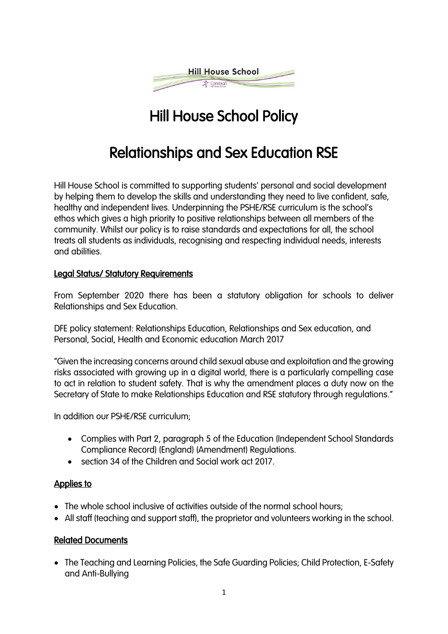

# Hill House School Policy

# Relationships and Sex Education RSE

Hill House School is committed to supporting students' personal and social development by helping them to develop the skills and understanding they need to live confident, safe, healthy and independent lives. Underpinning the PSHE/RSE curriculum is the school's ethos which gives a high priority to positive relationships between all members of the community. Whilst our policy is to raise standards and expectations for all, the school treats all students as individuals, recognising and respecting individual needs, interests and abilities.

### Legal Status/ Statutory Requirements

From September 2020 there has been a statutory obligation for schools to deliver Relationships and Sex Education.

DFE policy statement: Relationships Education, Relationships and Sex education, and Personal, Social, Health and Economic education March 2017

"Given the increasing concerns around child sexual abuse and exploitation and the growing risks associated with growing up in a digital world, there is a particularly compelling case to act in relation to student safety. That is why the amendment places a duty now on the Secretary of State to make Relationships Education and RSE statutory through regulations."

In addition our PSHE/RSE curriculum;

- Complies with Part 2, paragraph 5 of the Education (Independent School Standards Compliance Record) (England) (Amendment) Regulations.
- section 34 of the Children and Social work act 2017.

### Applies to

- The whole school inclusive of activities outside of the normal school hours;
- All staff (teaching and support staff), the proprietor and volunteers working in the school.

### Related Documents

• The Teaching and Learning Policies, the Safe Guarding Policies; Child Protection, E-Safety and Anti-Bullying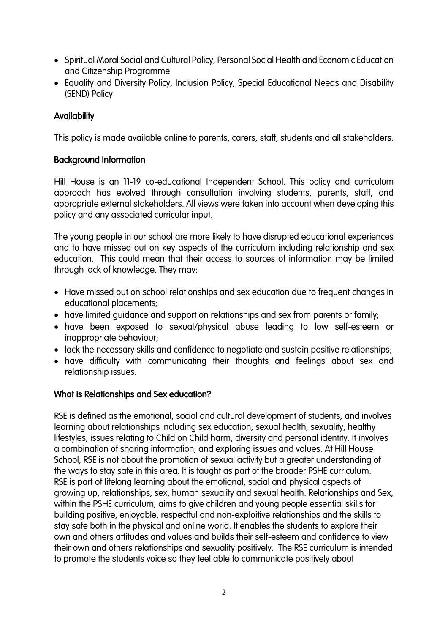- Spiritual Moral Social and Cultural Policy, Personal Social Health and Economic Education and Citizenship Programme
- Equality and Diversity Policy, Inclusion Policy, Special Educational Needs and Disability (SEND) Policy

### **Availability**

This policy is made available online to parents, carers, staff, students and all stakeholders.

### Background Information

Hill House is an 11-19 co-educational Independent School. This policy and curriculum approach has evolved through consultation involving students, parents, staff, and appropriate external stakeholders. All views were taken into account when developing this policy and any associated curricular input.

The young people in our school are more likely to have disrupted educational experiences and to have missed out on key aspects of the curriculum including relationship and sex education. This could mean that their access to sources of information may be limited through lack of knowledge. They may:

- Have missed out on school relationships and sex education due to frequent changes in educational placements;
- have limited guidance and support on relationships and sex from parents or family;
- have been exposed to sexual/physical abuse leading to low self-esteem or inappropriate behaviour;
- lack the necessary skills and confidence to negotiate and sustain positive relationships;
- have difficulty with communicating their thoughts and feelings about sex and relationship issues.

### What is Relationships and Sex education?

RSE is defined as the emotional, social and cultural development of students, and involves learning about relationships including sex education, sexual health, sexuality, healthy lifestyles, issues relating to Child on Child harm, diversity and personal identity. It involves a combination of sharing information, and exploring issues and values. At Hill House School, RSE is not about the promotion of sexual activity but a greater understanding of the ways to stay safe in this area. It is taught as part of the broader PSHE curriculum. RSE is part of lifelong learning about the emotional, social and physical aspects of growing up, relationships, sex, human sexuality and sexual health. Relationships and Sex, within the PSHE curriculum, aims to give children and young people essential skills for building positive, enjoyable, respectful and non-exploitive relationships and the skills to stay safe both in the physical and online world. It enables the students to explore their own and others attitudes and values and builds their self-esteem and confidence to view their own and others relationships and sexuality positively. The RSE curriculum is intended to promote the students voice so they feel able to communicate positively about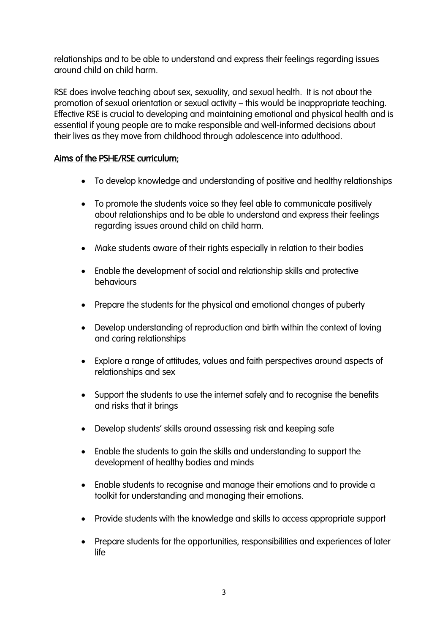relationships and to be able to understand and express their feelings regarding issues around child on child harm.

RSE does involve teaching about sex, sexuality, and sexual health. It is not about the promotion of sexual orientation or sexual activity – this would be inappropriate teaching. Effective RSE is crucial to developing and maintaining emotional and physical health and is essential if young people are to make responsible and well-informed decisions about their lives as they move from childhood through adolescence into adulthood.

### Aims of the PSHE/RSE curriculum;

- To develop knowledge and understanding of positive and healthy relationships
- To promote the students voice so they feel able to communicate positively about relationships and to be able to understand and express their feelings regarding issues around child on child harm.
- Make students aware of their rights especially in relation to their bodies
- Enable the development of social and relationship skills and protective behaviours
- Prepare the students for the physical and emotional changes of puberty
- Develop understanding of reproduction and birth within the context of loving and caring relationships
- Explore a range of attitudes, values and faith perspectives around aspects of relationships and sex
- Support the students to use the internet safely and to recognise the benefits and risks that it brings
- Develop students' skills around assessing risk and keeping safe
- Enable the students to gain the skills and understanding to support the development of healthy bodies and minds
- Enable students to recognise and manage their emotions and to provide a toolkit for understanding and managing their emotions.
- Provide students with the knowledge and skills to access appropriate support
- Prepare students for the opportunities, responsibilities and experiences of later life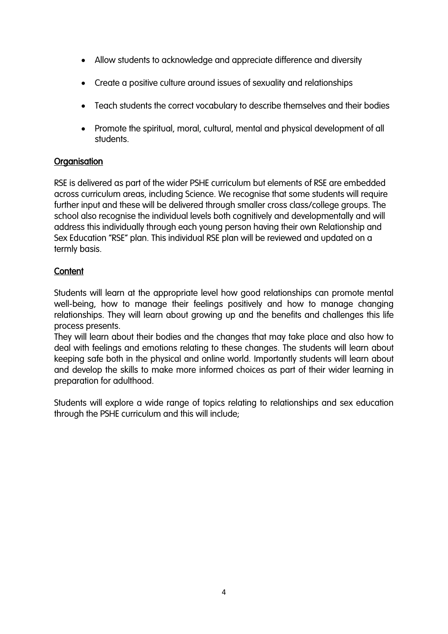- Allow students to acknowledge and appreciate difference and diversity
- Create a positive culture around issues of sexuality and relationships
- Teach students the correct vocabulary to describe themselves and their bodies
- Promote the spiritual, moral, cultural, mental and physical development of all students.

# **Organisation**

RSE is delivered as part of the wider PSHE curriculum but elements of RSE are embedded across curriculum areas, including Science. We recognise that some students will require further input and these will be delivered through smaller cross class/college groups. The school also recognise the individual levels both cognitively and developmentally and will address this individually through each young person having their own Relationship and Sex Education "RSE" plan. This individual RSE plan will be reviewed and updated on a termly basis.

# **Content**

Students will learn at the appropriate level how good relationships can promote mental well-being, how to manage their feelings positively and how to manage changing relationships. They will learn about growing up and the benefits and challenges this life process presents.

They will learn about their bodies and the changes that may take place and also how to deal with feelings and emotions relating to these changes. The students will learn about keeping safe both in the physical and online world. Importantly students will learn about and develop the skills to make more informed choices as part of their wider learning in preparation for adulthood.

Students will explore a wide range of topics relating to relationships and sex education through the PSHE curriculum and this will include;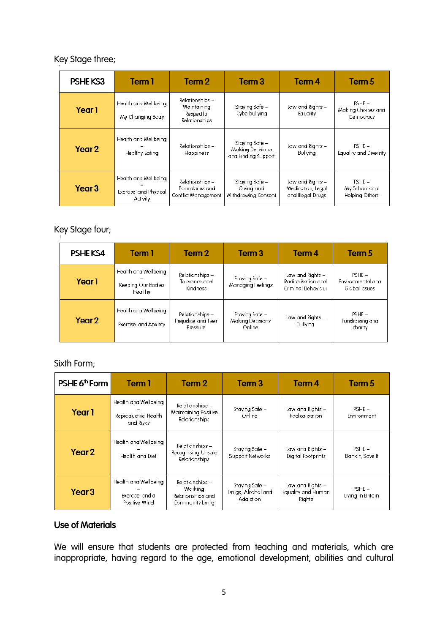### Key Stage three;

| PSHEKS3           | Tem <sub>1</sub>                                          | Tem <sub>2</sub>                                              | Term <sub>3</sub>                                         | Tem <sub>4</sub>                                           | Term 5                                      |
|-------------------|-----------------------------------------------------------|---------------------------------------------------------------|-----------------------------------------------------------|------------------------------------------------------------|---------------------------------------------|
| Year <sub>1</sub> | Health and Wellbeing<br>My Changing Body                  | Relationships -<br>Maintaining<br>Respectful<br>Relationships | Staying Safe –<br>Cyberbullying                           | Law and Rights –<br>Equality                               | $PSHE -$<br>Making Choices and<br>Democracy |
| Year <sub>2</sub> | Health and Wellbeing<br>Healthy Eating                    | Relationships -<br>Happiness                                  | Staying Safe –<br>Making Decisions<br>and Finding Support | Law and Rights -<br>Bullying                               | $PSHE -$<br>Equality and Diversity          |
| Year <sub>3</sub> | Health and Wellbeing<br>Exercise and Physical<br>Activity | Relationships -<br>Boundaries and<br>Conflict Management      | Staying Safe –<br>Giving and<br>Withdrawing Consent       | Law and Rights -<br>Medication, Legal<br>and Illegal Drugs | $PSHE -$<br>My School and<br>Helping Others |

# Key Stage four;

| PSHEKS4           | Term 1                                                | Term 2                                              | Term <sub>3</sub>                            | Term 4                                                       | Term 5                                         |
|-------------------|-------------------------------------------------------|-----------------------------------------------------|----------------------------------------------|--------------------------------------------------------------|------------------------------------------------|
| Year <sub>1</sub> | Health and Wellbeing<br>Keeping Our Bodies<br>Healthy | Relationships -<br>Tolerance and<br><b>Kindness</b> | Staying Safe –<br>Managing Feelings          | Law and Rights –<br>Radicalisation and<br>Criminal Behaviour | $PSHF -$<br>Environmental and<br>Global Issues |
| Year <sub>2</sub> | Health and Wellbeing<br>Exercise and Anxiety          | Relationships -<br>Prejudice and Peer<br>Pressure   | Staying Safe –<br>Making Decisions<br>Online | Law and Rights –<br>Bullying                                 | $PSHE -$<br>Fundraising and<br>charity         |

#### Sixth Form;

| PSHE 6 <sup>th</sup> Form | Term 1                                                   | Term 2                                                              | Term <sub>3</sub>                                 | Term 4                                           | Term 5                        |
|---------------------------|----------------------------------------------------------|---------------------------------------------------------------------|---------------------------------------------------|--------------------------------------------------|-------------------------------|
| Year <sub>1</sub>         | Health and Wellbeing<br>Reproductive Health<br>and Risks | Relationships -<br>Maintaining Positive<br><b>Relationships</b>     | Staving Safe –<br>Online                          | Law and Rights –<br>Radicalisation               | $PSHE -$<br>Environment       |
| Year <sub>2</sub>         | Health and Wellbeing<br>Health and Diet                  | Relationships –<br>Recognising Unsafe<br><b>Relationships</b>       | Staving Safe –<br>Support Networks                | Law and Rights –<br>Digital Footprints           | $PSHE -$<br>Bank It, Save It  |
| Year <sub>3</sub>         | Health and Wellbeing<br>Exercise and a<br>Positive Mind  | Relationships -<br>Working<br>Relationships and<br>Community Living | Staying Safe –<br>Drugs, Alcohol and<br>Addiction | Law and Rights -<br>Equality and Human<br>Rights | $PSHE -$<br>Living in Britain |

# Use of Materials

We will ensure that students are protected from teaching and materials, which are inappropriate, having regard to the age, emotional development, abilities and cultural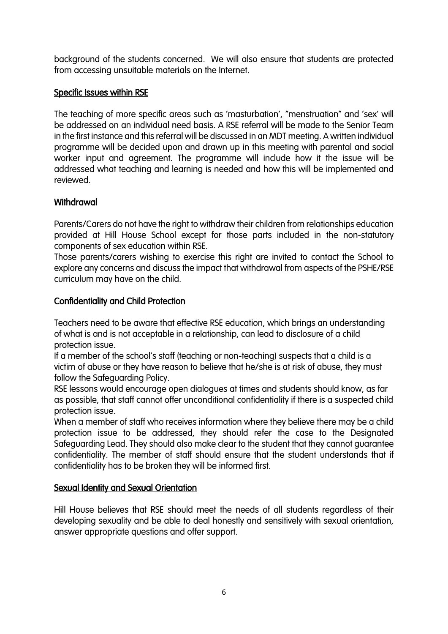background of the students concerned. We will also ensure that students are protected from accessing unsuitable materials on the Internet.

### Specific Issues within RSE

The teaching of more specific areas such as 'masturbation', "menstruation" and 'sex' will be addressed on an individual need basis. A RSE referral will be made to the Senior Team in the first instance and this referral will be discussed in an MDT meeting. A written individual programme will be decided upon and drawn up in this meeting with parental and social worker input and agreement. The programme will include how it the issue will be addressed what teaching and learning is needed and how this will be implemented and reviewed.

# **Withdrawal**

Parents/Carers do not have the right to withdraw their children from relationships education provided at Hill House School except for those parts included in the non-statutory components of sex education within RSE.

Those parents/carers wishing to exercise this right are invited to contact the School to explore any concerns and discuss the impact that withdrawal from aspects of the PSHE/RSE curriculum may have on the child.

### Confidentiality and Child Protection

Teachers need to be aware that effective RSE education, which brings an understanding of what is and is not acceptable in a relationship, can lead to disclosure of a child protection issue.

If a member of the school's staff (teaching or non-teaching) suspects that a child is a victim of abuse or they have reason to believe that he/she is at risk of abuse, they must follow the Safeguarding Policy.

RSE lessons would encourage open dialogues at times and students should know, as far as possible, that staff cannot offer unconditional confidentiality if there is a suspected child protection issue.

When a member of staff who receives information where they believe there may be a child protection issue to be addressed, they should refer the case to the Designated Safeguarding Lead. They should also make clear to the student that they cannot guarantee confidentiality. The member of staff should ensure that the student understands that if confidentiality has to be broken they will be informed first.

# Sexual Identity and Sexual Orientation

Hill House believes that RSE should meet the needs of all students regardless of their developing sexuality and be able to deal honestly and sensitively with sexual orientation, answer appropriate questions and offer support.